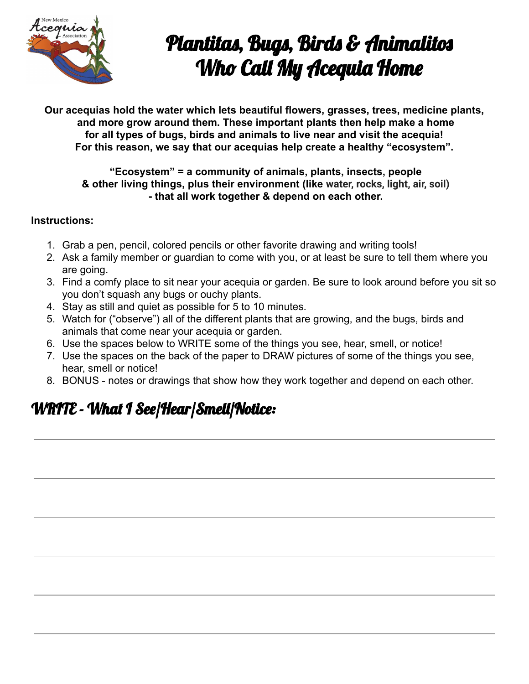

# Plantitas, Bugs, Birds & Animalitos Who Call My Acequia Home

**Our acequias hold the water which lets beautiful flowers, grasses, trees, medicine plants, and more grow around them. These important plants then help make a home for all types of bugs, birds and animals to live near and visit the acequia! For this reason, we say that our acequias help create a healthy "ecosystem".**

#### **"Ecosystem" = a community of animals, plants, insects, people & other living things, plus their environment (like water, rocks, light, air, soil) - that all work together & depend on each other.**

#### **Instructions:**

- 1. Grab a pen, pencil, colored pencils or other favorite drawing and writing tools!
- 2. Ask a family member or guardian to come with you, or at least be sure to tell them where you are going.
- 3. Find a comfy place to sit near your acequia or garden. Be sure to look around before you sit so you don't squash any bugs or ouchy plants.
- 4. Stay as still and quiet as possible for 5 to 10 minutes.
- 5. Watch for ("observe") all of the different plants that are growing, and the bugs, birds and animals that come near your acequia or garden.
- 6. Use the spaces below to WRITE some of the things you see, hear, smell, or notice!
- 7. Use the spaces on the back of the paper to DRAW pictures of some of the things you see, hear, smell or notice!
- 8. BONUS notes or drawings that show how they work together and depend on each other.

### WRITE - What I See/Hear/Smell/Notice: